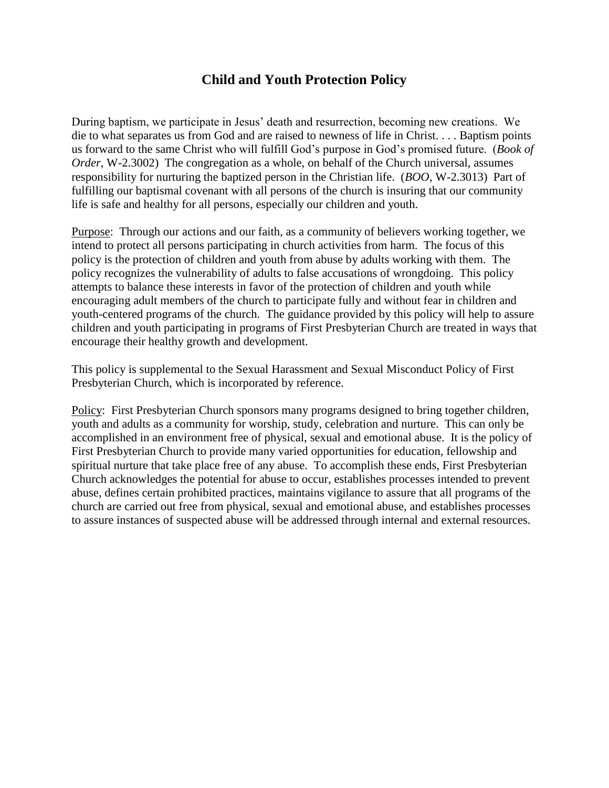# **Child and Youth Protection Policy**

During baptism, we participate in Jesus' death and resurrection, becoming new creations. We die to what separates us from God and are raised to newness of life in Christ. . . . Baptism points us forward to the same Christ who will fulfill God's purpose in God's promised future. (*Book of Order,* W-2.3002) The congregation as a whole, on behalf of the Church universal, assumes responsibility for nurturing the baptized person in the Christian life. (*BOO,* W-2.3013) Part of fulfilling our baptismal covenant with all persons of the church is insuring that our community life is safe and healthy for all persons, especially our children and youth.

Purpose: Through our actions and our faith, as a community of believers working together, we intend to protect all persons participating in church activities from harm. The focus of this policy is the protection of children and youth from abuse by adults working with them. The policy recognizes the vulnerability of adults to false accusations of wrongdoing. This policy attempts to balance these interests in favor of the protection of children and youth while encouraging adult members of the church to participate fully and without fear in children and youth-centered programs of the church. The guidance provided by this policy will help to assure children and youth participating in programs of First Presbyterian Church are treated in ways that encourage their healthy growth and development.

This policy is supplemental to the Sexual Harassment and Sexual Misconduct Policy of First Presbyterian Church, which is incorporated by reference.

Policy: First Presbyterian Church sponsors many programs designed to bring together children, youth and adults as a community for worship, study, celebration and nurture. This can only be accomplished in an environment free of physical, sexual and emotional abuse. It is the policy of First Presbyterian Church to provide many varied opportunities for education, fellowship and spiritual nurture that take place free of any abuse. To accomplish these ends, First Presbyterian Church acknowledges the potential for abuse to occur, establishes processes intended to prevent abuse, defines certain prohibited practices, maintains vigilance to assure that all programs of the church are carried out free from physical, sexual and emotional abuse, and establishes processes to assure instances of suspected abuse will be addressed through internal and external resources.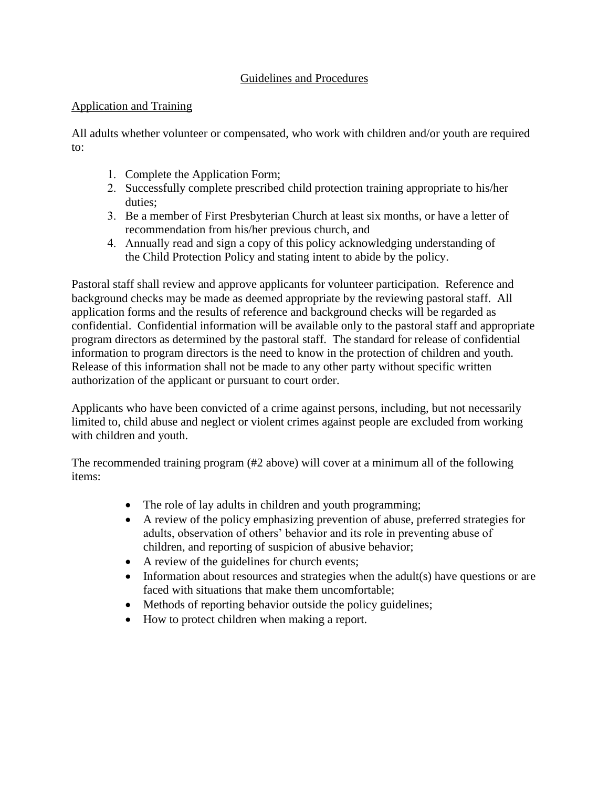## Guidelines and Procedures

### Application and Training

All adults whether volunteer or compensated, who work with children and/or youth are required to:

- 1. Complete the Application Form;
- 2. Successfully complete prescribed child protection training appropriate to his/her duties;
- 3. Be a member of First Presbyterian Church at least six months, or have a letter of recommendation from his/her previous church, and
- 4. Annually read and sign a copy of this policy acknowledging understanding of the Child Protection Policy and stating intent to abide by the policy.

Pastoral staff shall review and approve applicants for volunteer participation. Reference and background checks may be made as deemed appropriate by the reviewing pastoral staff. All application forms and the results of reference and background checks will be regarded as confidential. Confidential information will be available only to the pastoral staff and appropriate program directors as determined by the pastoral staff. The standard for release of confidential information to program directors is the need to know in the protection of children and youth. Release of this information shall not be made to any other party without specific written authorization of the applicant or pursuant to court order.

Applicants who have been convicted of a crime against persons, including, but not necessarily limited to, child abuse and neglect or violent crimes against people are excluded from working with children and youth.

The recommended training program (#2 above) will cover at a minimum all of the following items:

- The role of lay adults in children and youth programming;
- A review of the policy emphasizing prevention of abuse, preferred strategies for adults, observation of others' behavior and its role in preventing abuse of children, and reporting of suspicion of abusive behavior;
- A review of the guidelines for church events;
- $\bullet$  Information about resources and strategies when the adult(s) have questions or are faced with situations that make them uncomfortable;
- Methods of reporting behavior outside the policy guidelines;
- How to protect children when making a report.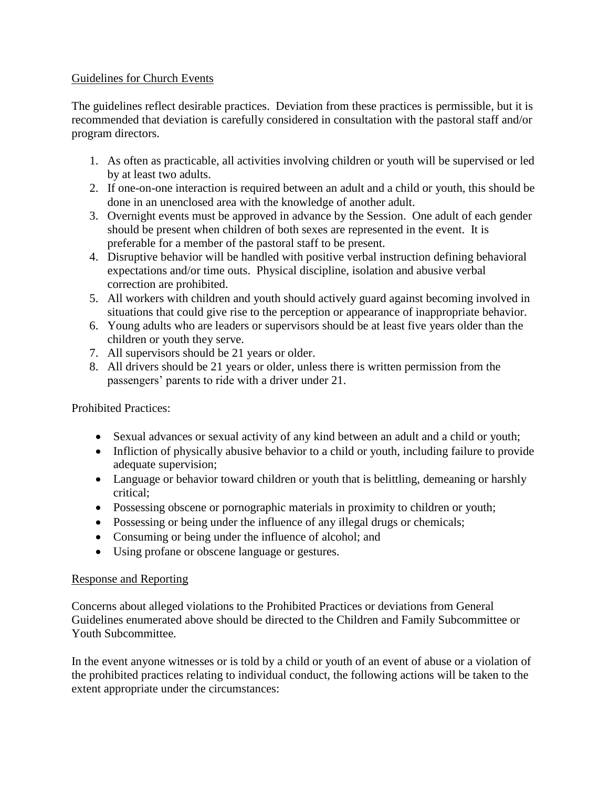#### Guidelines for Church Events

The guidelines reflect desirable practices. Deviation from these practices is permissible, but it is recommended that deviation is carefully considered in consultation with the pastoral staff and/or program directors.

- 1. As often as practicable, all activities involving children or youth will be supervised or led by at least two adults.
- 2. If one-on-one interaction is required between an adult and a child or youth, this should be done in an unenclosed area with the knowledge of another adult.
- 3. Overnight events must be approved in advance by the Session. One adult of each gender should be present when children of both sexes are represented in the event. It is preferable for a member of the pastoral staff to be present.
- 4. Disruptive behavior will be handled with positive verbal instruction defining behavioral expectations and/or time outs. Physical discipline, isolation and abusive verbal correction are prohibited.
- 5. All workers with children and youth should actively guard against becoming involved in situations that could give rise to the perception or appearance of inappropriate behavior.
- 6. Young adults who are leaders or supervisors should be at least five years older than the children or youth they serve.
- 7. All supervisors should be 21 years or older.
- 8. All drivers should be 21 years or older, unless there is written permission from the passengers' parents to ride with a driver under 21.

Prohibited Practices:

- Sexual advances or sexual activity of any kind between an adult and a child or youth;
- Infliction of physically abusive behavior to a child or youth, including failure to provide adequate supervision;
- Language or behavior toward children or youth that is belittling, demeaning or harshly critical;
- Possessing obscene or pornographic materials in proximity to children or youth;
- Possessing or being under the influence of any illegal drugs or chemicals;
- Consuming or being under the influence of alcohol; and
- Using profane or obscene language or gestures.

#### Response and Reporting

Concerns about alleged violations to the Prohibited Practices or deviations from General Guidelines enumerated above should be directed to the Children and Family Subcommittee or Youth Subcommittee.

In the event anyone witnesses or is told by a child or youth of an event of abuse or a violation of the prohibited practices relating to individual conduct, the following actions will be taken to the extent appropriate under the circumstances: